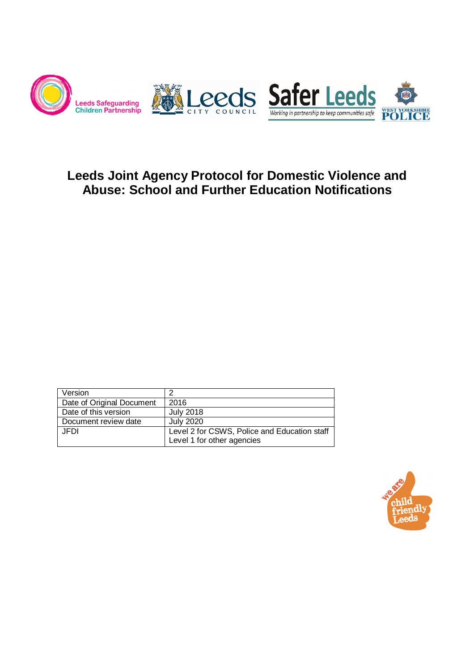

# **Leeds Joint Agency Protocol for Domestic Violence and Abuse: School and Further Education Notifications**

| Version                   | ≘                                            |
|---------------------------|----------------------------------------------|
| Date of Original Document | 2016                                         |
| Date of this version      | July 2018                                    |
| Document review date      | <b>July 2020</b>                             |
| JEDI                      | Level 2 for CSWS, Police and Education staff |
|                           | Level 1 for other agencies                   |

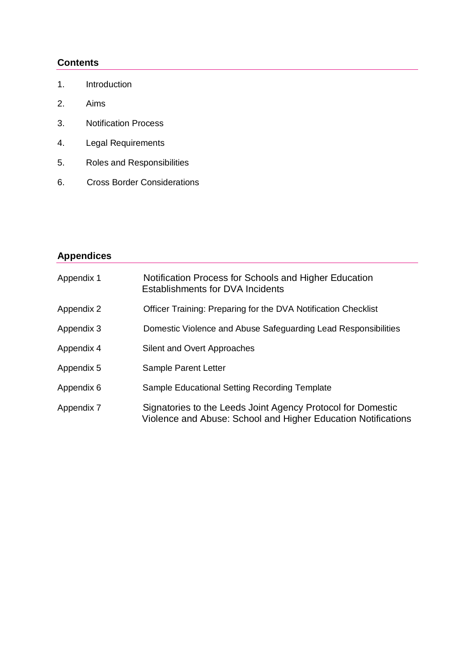#### **Contents**

- 1. Introduction
- 2. Aims
- 3. Notification Process
- 4. Legal Requirements
- 5. Roles and Responsibilities
- 6. Cross Border Considerations

# **Appendices**

| Appendix 1 | Notification Process for Schools and Higher Education<br><b>Establishments for DVA Incidents</b>                             |
|------------|------------------------------------------------------------------------------------------------------------------------------|
| Appendix 2 | Officer Training: Preparing for the DVA Notification Checklist                                                               |
| Appendix 3 | Domestic Violence and Abuse Safeguarding Lead Responsibilities                                                               |
| Appendix 4 | Silent and Overt Approaches                                                                                                  |
| Appendix 5 | Sample Parent Letter                                                                                                         |
| Appendix 6 | Sample Educational Setting Recording Template                                                                                |
| Appendix 7 | Signatories to the Leeds Joint Agency Protocol for Domestic<br>Violence and Abuse: School and Higher Education Notifications |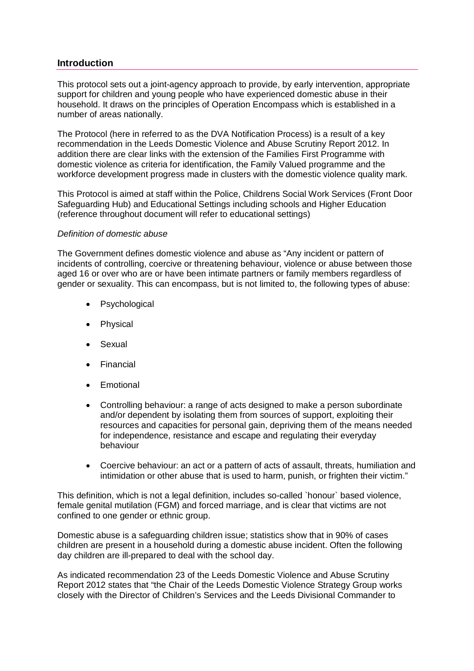#### **Introduction**

This protocol sets out a joint-agency approach to provide, by early intervention, appropriate support for children and young people who have experienced domestic abuse in their household. It draws on the principles of Operation Encompass which is established in a number of areas nationally.

The Protocol (here in referred to as the DVA Notification Process) is a result of a key recommendation in the Leeds Domestic Violence and Abuse Scrutiny Report 2012. In addition there are clear links with the extension of the Families First Programme with domestic violence as criteria for identification, the Family Valued programme and the workforce development progress made in clusters with the domestic violence quality mark.

This Protocol is aimed at staff within the Police, Childrens Social Work Services (Front Door Safeguarding Hub) and Educational Settings including schools and Higher Education (reference throughout document will refer to educational settings)

#### *Definition of domestic abuse*

The Government defines domestic violence and abuse as "Any incident or pattern of incidents of controlling, coercive or threatening behaviour, violence or abuse between those aged 16 or over who are or have been intimate partners or family members regardless of gender or sexuality. This can encompass, but is not limited to, the following types of abuse:

- Psychological
- Physical
- Sexual
- Financial
- Emotional
- Controlling behaviour: a range of acts designed to make a person subordinate and/or dependent by isolating them from sources of support, exploiting their resources and capacities for personal gain, depriving them of the means needed for independence, resistance and escape and regulating their everyday behaviour
- Coercive behaviour: an act or a pattern of acts of assault, threats, humiliation and intimidation or other abuse that is used to harm, punish, or frighten their victim."

This definition, which is not a legal definition, includes so-called `honour` based violence, female genital mutilation (FGM) and forced marriage, and is clear that victims are not confined to one gender or ethnic group.

Domestic abuse is a safeguarding children issue; statistics show that in 90% of cases children are present in a household during a domestic abuse incident. Often the following day children are ill-prepared to deal with the school day.

As indicated recommendation 23 of the Leeds Domestic Violence and Abuse Scrutiny Report 2012 states that "the Chair of the Leeds Domestic Violence Strategy Group works closely with the Director of Children's Services and the Leeds Divisional Commander to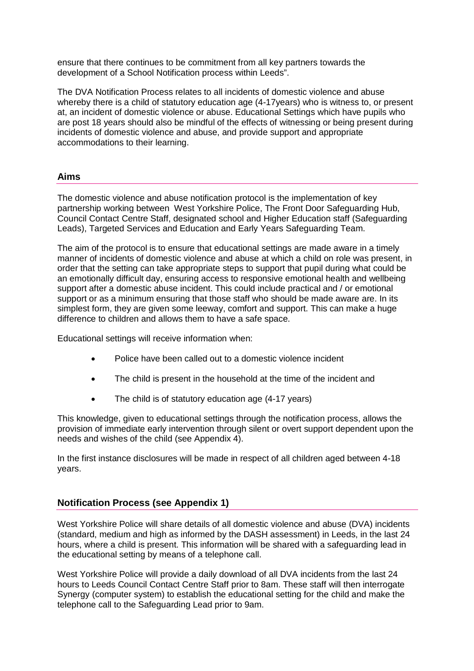ensure that there continues to be commitment from all key partners towards the development of a School Notification process within Leeds".

The DVA Notification Process relates to all incidents of domestic violence and abuse whereby there is a child of statutory education age (4-17years) who is witness to, or present at, an incident of domestic violence or abuse. Educational Settings which have pupils who are post 18 years should also be mindful of the effects of witnessing or being present during incidents of domestic violence and abuse, and provide support and appropriate accommodations to their learning.

#### **Aims**

The domestic violence and abuse notification protocol is the implementation of key partnership working between West Yorkshire Police, The Front Door Safeguarding Hub, Council Contact Centre Staff, designated school and Higher Education staff (Safeguarding Leads), Targeted Services and Education and Early Years Safeguarding Team.

The aim of the protocol is to ensure that educational settings are made aware in a timely manner of incidents of domestic violence and abuse at which a child on role was present, in order that the setting can take appropriate steps to support that pupil during what could be an emotionally difficult day, ensuring access to responsive emotional health and wellbeing support after a domestic abuse incident. This could include practical and / or emotional support or as a minimum ensuring that those staff who should be made aware are. In its simplest form, they are given some leeway, comfort and support. This can make a huge difference to children and allows them to have a safe space.

Educational settings will receive information when:

- Police have been called out to a domestic violence incident
- The child is present in the household at the time of the incident and
- The child is of statutory education age (4-17 years)

This knowledge, given to educational settings through the notification process, allows the provision of immediate early intervention through silent or overt support dependent upon the needs and wishes of the child (see Appendix 4).

In the first instance disclosures will be made in respect of all children aged between 4-18 years.

#### **Notification Process (see Appendix 1)**

West Yorkshire Police will share details of all domestic violence and abuse (DVA) incidents (standard, medium and high as informed by the DASH assessment) in Leeds, in the last 24 hours, where a child is present. This information will be shared with a safeguarding lead in the educational setting by means of a telephone call.

West Yorkshire Police will provide a daily download of all DVA incidents from the last 24 hours to Leeds Council Contact Centre Staff prior to 8am. These staff will then interrogate Synergy (computer system) to establish the educational setting for the child and make the telephone call to the Safeguarding Lead prior to 9am.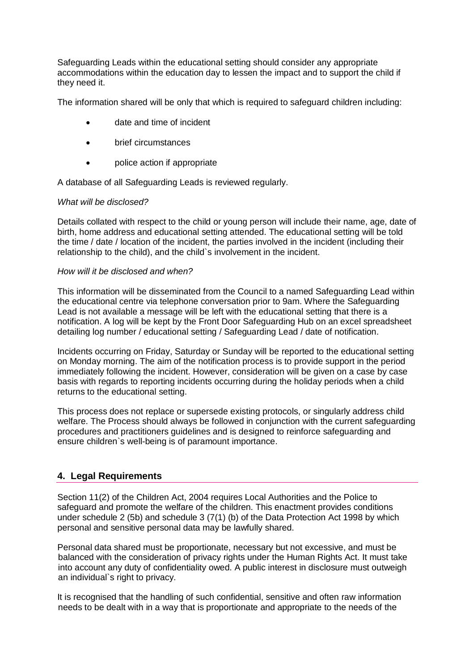Safeguarding Leads within the educational setting should consider any appropriate accommodations within the education day to lessen the impact and to support the child if they need it.

The information shared will be only that which is required to safeguard children including:

- date and time of incident
- brief circumstances
- police action if appropriate

A database of all Safeguarding Leads is reviewed regularly.

#### *What will be disclosed?*

Details collated with respect to the child or young person will include their name, age, date of birth, home address and educational setting attended. The educational setting will be told the time / date / location of the incident, the parties involved in the incident (including their relationship to the child), and the child`s involvement in the incident.

#### *How will it be disclosed and when?*

This information will be disseminated from the Council to a named Safeguarding Lead within the educational centre via telephone conversation prior to 9am. Where the Safeguarding Lead is not available a message will be left with the educational setting that there is a notification. A log will be kept by the Front Door Safeguarding Hub on an excel spreadsheet detailing log number / educational setting / Safeguarding Lead / date of notification.

Incidents occurring on Friday, Saturday or Sunday will be reported to the educational setting on Monday morning. The aim of the notification process is to provide support in the period immediately following the incident. However, consideration will be given on a case by case basis with regards to reporting incidents occurring during the holiday periods when a child returns to the educational setting.

This process does not replace or supersede existing protocols, or singularly address child welfare. The Process should always be followed in conjunction with the current safeguarding procedures and practitioners guidelines and is designed to reinforce safeguarding and ensure children`s well-being is of paramount importance.

#### **4. Legal Requirements**

Section 11(2) of the Children Act, 2004 requires Local Authorities and the Police to safeguard and promote the welfare of the children. This enactment provides conditions under schedule 2 (5b) and schedule 3 (7(1) (b) of the Data Protection Act 1998 by which personal and sensitive personal data may be lawfully shared.

Personal data shared must be proportionate, necessary but not excessive, and must be balanced with the consideration of privacy rights under the Human Rights Act. It must take into account any duty of confidentiality owed. A public interest in disclosure must outweigh an individual`s right to privacy.

It is recognised that the handling of such confidential, sensitive and often raw information needs to be dealt with in a way that is proportionate and appropriate to the needs of the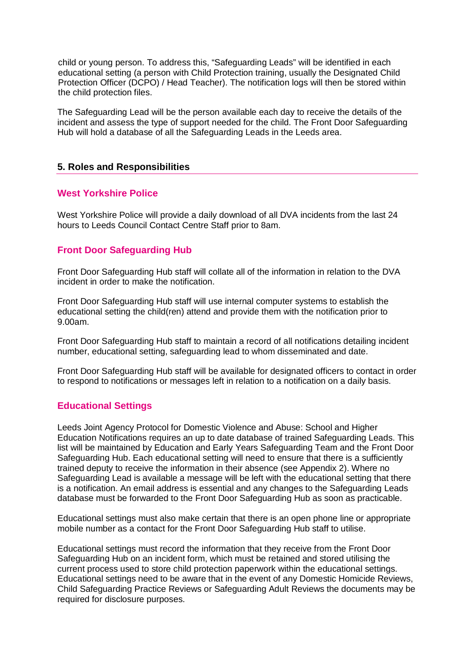child or young person. To address this, "Safeguarding Leads" will be identified in each educational setting (a person with Child Protection training, usually the Designated Child Protection Officer (DCPO) / Head Teacher). The notification logs will then be stored within the child protection files.

The Safeguarding Lead will be the person available each day to receive the details of the incident and assess the type of support needed for the child. The Front Door Safeguarding Hub will hold a database of all the Safeguarding Leads in the Leeds area.

#### **5. Roles and Responsibilities**

#### **West Yorkshire Police**

West Yorkshire Police will provide a daily download of all DVA incidents from the last 24 hours to Leeds Council Contact Centre Staff prior to 8am.

#### **Front Door Safeguarding Hub**

Front Door Safeguarding Hub staff will collate all of the information in relation to the DVA incident in order to make the notification.

Front Door Safeguarding Hub staff will use internal computer systems to establish the educational setting the child(ren) attend and provide them with the notification prior to 9.00am.

Front Door Safeguarding Hub staff to maintain a record of all notifications detailing incident number, educational setting, safeguarding lead to whom disseminated and date.

Front Door Safeguarding Hub staff will be available for designated officers to contact in order to respond to notifications or messages left in relation to a notification on a daily basis.

#### **Educational Settings**

Leeds Joint Agency Protocol for Domestic Violence and Abuse: School and Higher Education Notifications requires an up to date database of trained Safeguarding Leads. This list will be maintained by Education and Early Years Safeguarding Team and the Front Door Safeguarding Hub. Each educational setting will need to ensure that there is a sufficiently trained deputy to receive the information in their absence (see Appendix 2). Where no Safeguarding Lead is available a message will be left with the educational setting that there is a notification. An email address is essential and any changes to the Safeguarding Leads database must be forwarded to the Front Door Safeguarding Hub as soon as practicable.

Educational settings must also make certain that there is an open phone line or appropriate mobile number as a contact for the Front Door Safeguarding Hub staff to utilise.

Educational settings must record the information that they receive from the Front Door Safeguarding Hub on an incident form, which must be retained and stored utilising the current process used to store child protection paperwork within the educational settings. Educational settings need to be aware that in the event of any Domestic Homicide Reviews, Child Safeguarding Practice Reviews or Safeguarding Adult Reviews the documents may be required for disclosure purposes.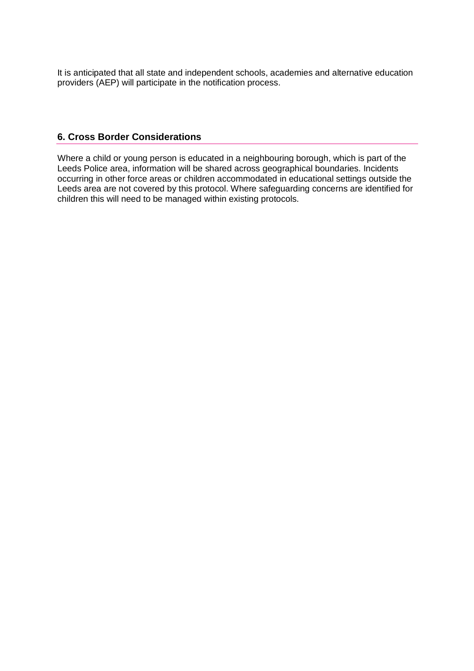It is anticipated that all state and independent schools, academies and alternative education providers (AEP) will participate in the notification process.

#### **6. Cross Border Considerations**

Where a child or young person is educated in a neighbouring borough, which is part of the Leeds Police area, information will be shared across geographical boundaries. Incidents occurring in other force areas or children accommodated in educational settings outside the Leeds area are not covered by this protocol. Where safeguarding concerns are identified for children this will need to be managed within existing protocols.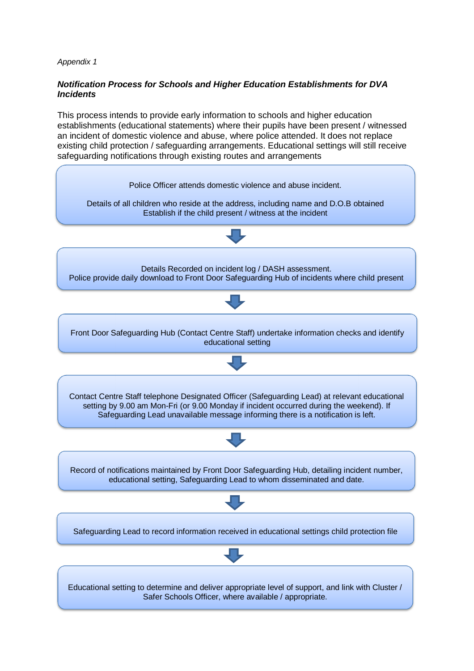#### *Notification Process for Schools and Higher Education Establishments for DVA Incidents*

This process intends to provide early information to schools and higher education establishments (educational statements) where their pupils have been present / witnessed an incident of domestic violence and abuse, where police attended. It does not replace existing child protection / safeguarding arrangements. Educational settings will still receive safeguarding notifications through existing routes and arrangements

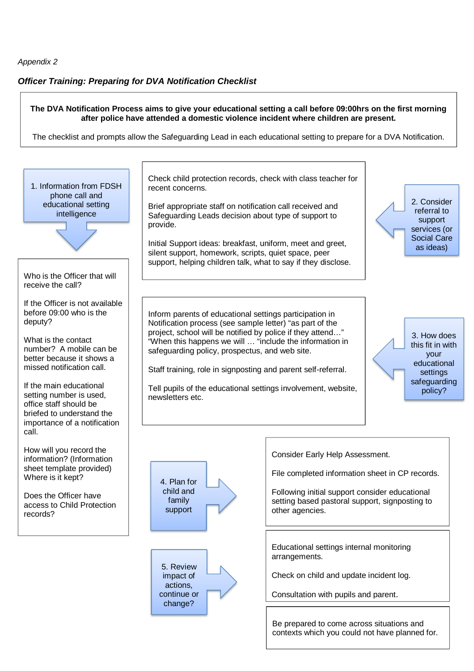#### *Officer Training: Preparing for DVA Notification Checklist*

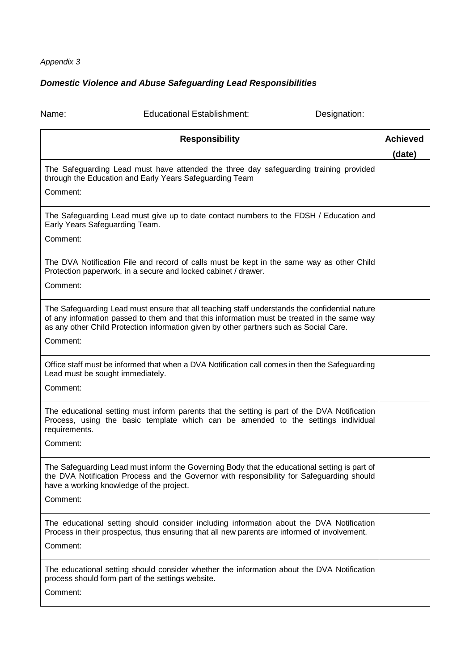# *Domestic Violence and Abuse Safeguarding Lead Responsibilities*

| Name:                                                                                                                                                        | <b>Educational Establishment:</b>                                                                                                                                                                                                                                                      | Designation: |                           |  |  |
|--------------------------------------------------------------------------------------------------------------------------------------------------------------|----------------------------------------------------------------------------------------------------------------------------------------------------------------------------------------------------------------------------------------------------------------------------------------|--------------|---------------------------|--|--|
|                                                                                                                                                              | <b>Responsibility</b>                                                                                                                                                                                                                                                                  |              | <b>Achieved</b><br>(date) |  |  |
| The Safeguarding Lead must have attended the three day safeguarding training provided<br>through the Education and Early Years Safeguarding Team<br>Comment: |                                                                                                                                                                                                                                                                                        |              |                           |  |  |
| The Safeguarding Lead must give up to date contact numbers to the FDSH / Education and<br>Early Years Safeguarding Team.<br>Comment:                         |                                                                                                                                                                                                                                                                                        |              |                           |  |  |
| Comment:                                                                                                                                                     | The DVA Notification File and record of calls must be kept in the same way as other Child<br>Protection paperwork, in a secure and locked cabinet / drawer.                                                                                                                            |              |                           |  |  |
| Comment:                                                                                                                                                     | The Safeguarding Lead must ensure that all teaching staff understands the confidential nature<br>of any information passed to them and that this information must be treated in the same way<br>as any other Child Protection information given by other partners such as Social Care. |              |                           |  |  |
| Comment:                                                                                                                                                     | Office staff must be informed that when a DVA Notification call comes in then the Safeguarding<br>Lead must be sought immediately.                                                                                                                                                     |              |                           |  |  |
| requirements.<br>Comment:                                                                                                                                    | The educational setting must inform parents that the setting is part of the DVA Notification<br>Process, using the basic template which can be amended to the settings individual                                                                                                      |              |                           |  |  |
| Comment:                                                                                                                                                     | The Safeguarding Lead must inform the Governing Body that the educational setting is part of<br>the DVA Notification Process and the Governor with responsibility for Safeguarding should<br>have a working knowledge of the project.                                                  |              |                           |  |  |
| Comment:                                                                                                                                                     | The educational setting should consider including information about the DVA Notification<br>Process in their prospectus, thus ensuring that all new parents are informed of involvement.                                                                                               |              |                           |  |  |
| Comment:                                                                                                                                                     | The educational setting should consider whether the information about the DVA Notification<br>process should form part of the settings website.                                                                                                                                        |              |                           |  |  |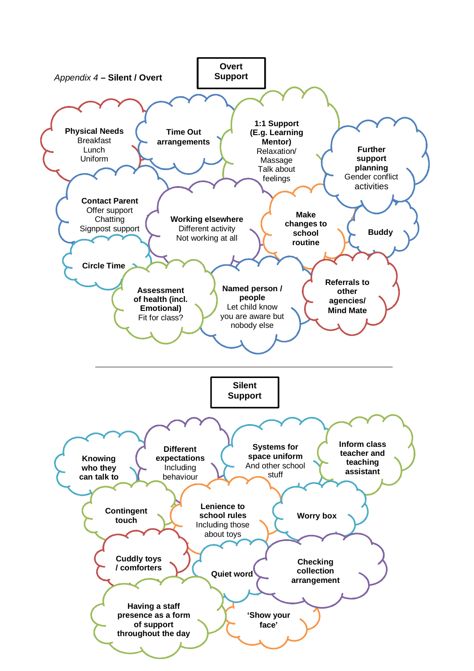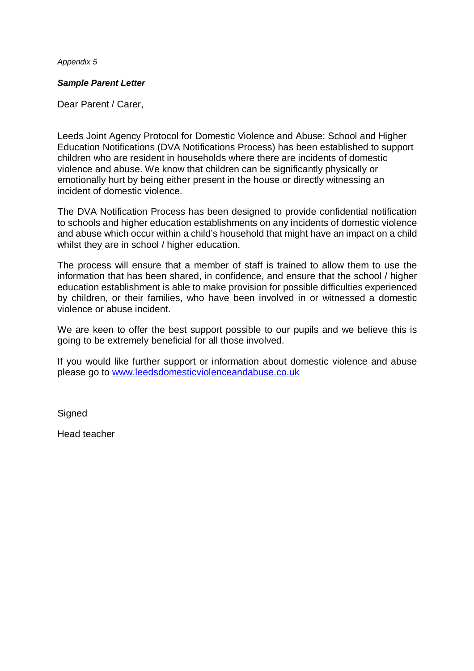#### *Sample Parent Letter*

Dear Parent / Carer,

Leeds Joint Agency Protocol for Domestic Violence and Abuse: School and Higher Education Notifications (DVA Notifications Process) has been established to support children who are resident in households where there are incidents of domestic violence and abuse. We know that children can be significantly physically or emotionally hurt by being either present in the house or directly witnessing an incident of domestic violence.

The DVA Notification Process has been designed to provide confidential notification to schools and higher education establishments on any incidents of domestic violence and abuse which occur within a child's household that might have an impact on a child whilst they are in school / higher education.

The process will ensure that a member of staff is trained to allow them to use the information that has been shared, in confidence, and ensure that the school / higher education establishment is able to make provision for possible difficulties experienced by children, or their families, who have been involved in or witnessed a domestic violence or abuse incident.

We are keen to offer the best support possible to our pupils and we believe this is going to be extremely beneficial for all those involved.

If you would like further support or information about domestic violence and abuse please go to www.leedsdomesticviolenceandabuse.co.uk

**Signed** 

Head teacher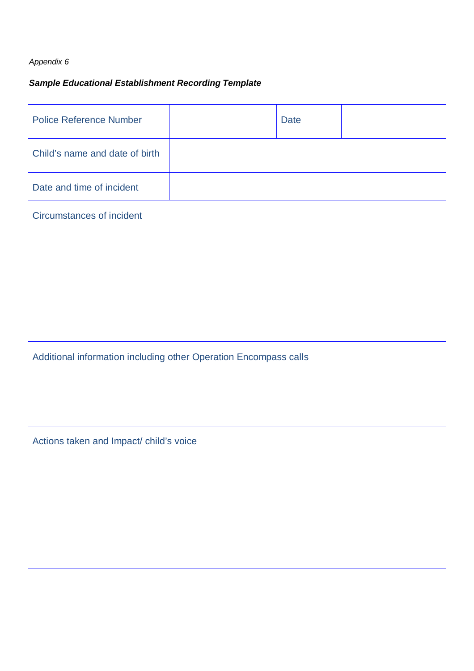# *Sample Educational Establishment Recording Template*

| <b>Police Reference Number</b>                                   |  | <b>Date</b> |  |  |  |  |  |
|------------------------------------------------------------------|--|-------------|--|--|--|--|--|
| Child's name and date of birth                                   |  |             |  |  |  |  |  |
| Date and time of incident                                        |  |             |  |  |  |  |  |
| Circumstances of incident                                        |  |             |  |  |  |  |  |
|                                                                  |  |             |  |  |  |  |  |
|                                                                  |  |             |  |  |  |  |  |
|                                                                  |  |             |  |  |  |  |  |
|                                                                  |  |             |  |  |  |  |  |
| Additional information including other Operation Encompass calls |  |             |  |  |  |  |  |
|                                                                  |  |             |  |  |  |  |  |
| Actions taken and Impact/ child's voice                          |  |             |  |  |  |  |  |
|                                                                  |  |             |  |  |  |  |  |
|                                                                  |  |             |  |  |  |  |  |
|                                                                  |  |             |  |  |  |  |  |
|                                                                  |  |             |  |  |  |  |  |